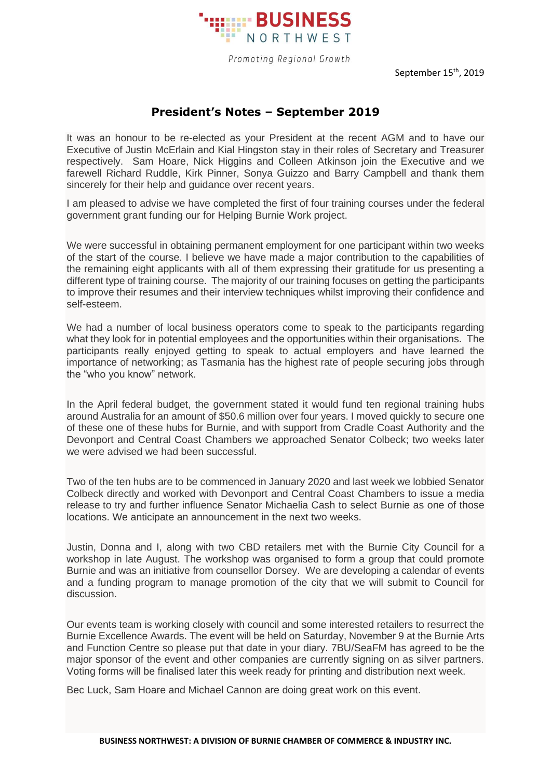

Promoting Regional Growth

September 15<sup>th</sup>, 2019

## **President's Notes – September 2019**

It was an honour to be re-elected as your President at the recent AGM and to have our Executive of Justin McErlain and Kial Hingston stay in their roles of Secretary and Treasurer respectively. Sam Hoare, Nick Higgins and Colleen Atkinson join the Executive and we farewell Richard Ruddle, Kirk Pinner, Sonya Guizzo and Barry Campbell and thank them sincerely for their help and guidance over recent years.

I am pleased to advise we have completed the first of four training courses under the federal government grant funding our for Helping Burnie Work project.

We were successful in obtaining permanent employment for one participant within two weeks of the start of the course. I believe we have made a major contribution to the capabilities of the remaining eight applicants with all of them expressing their gratitude for us presenting a different type of training course. The majority of our training focuses on getting the participants to improve their resumes and their interview techniques whilst improving their confidence and self-esteem.

We had a number of local business operators come to speak to the participants regarding what they look for in potential employees and the opportunities within their organisations. The participants really enjoyed getting to speak to actual employers and have learned the importance of networking; as Tasmania has the highest rate of people securing jobs through the "who you know" network.

In the April federal budget, the government stated it would fund ten regional training hubs around Australia for an amount of \$50.6 million over four years. I moved quickly to secure one of these one of these hubs for Burnie, and with support from Cradle Coast Authority and the Devonport and Central Coast Chambers we approached Senator Colbeck; two weeks later we were advised we had been successful.

Two of the ten hubs are to be commenced in January 2020 and last week we lobbied Senator Colbeck directly and worked with Devonport and Central Coast Chambers to issue a media release to try and further influence Senator Michaelia Cash to select Burnie as one of those locations. We anticipate an announcement in the next two weeks.

Justin, Donna and I, along with two CBD retailers met with the Burnie City Council for a workshop in late August. The workshop was organised to form a group that could promote Burnie and was an initiative from counsellor Dorsey. We are developing a calendar of events and a funding program to manage promotion of the city that we will submit to Council for discussion.

Our events team is working closely with council and some interested retailers to resurrect the Burnie Excellence Awards. The event will be held on Saturday, November 9 at the Burnie Arts and Function Centre so please put that date in your diary. 7BU/SeaFM has agreed to be the major sponsor of the event and other companies are currently signing on as silver partners. Voting forms will be finalised later this week ready for printing and distribution next week.

Bec Luck, Sam Hoare and Michael Cannon are doing great work on this event.